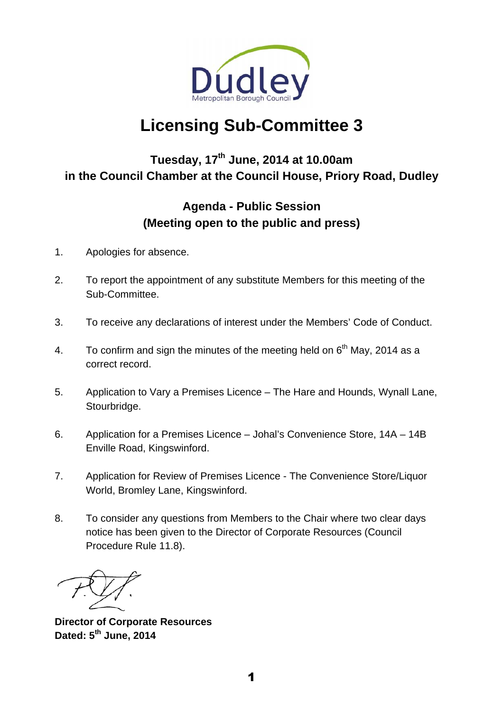

# **Licensing Sub-Committee 3**

# **Tuesday, 17th June, 2014 at 10.00am in the Council Chamber at the Council House, Priory Road, Dudley**

# **Agenda - Public Session (Meeting open to the public and press)**

- 1. Apologies for absence.
- 2. To report the appointment of any substitute Members for this meeting of the Sub-Committee.
- 3. To receive any declarations of interest under the Members' Code of Conduct.
- 4. To confirm and sign the minutes of the meeting held on  $6<sup>th</sup>$  May, 2014 as a correct record.
- 5. Application to Vary a Premises Licence The Hare and Hounds, Wynall Lane, Stourbridge.
- 6. Application for a Premises Licence Johal's Convenience Store, 14A 14B Enville Road, Kingswinford.
- 7. Application for Review of Premises Licence The Convenience Store/Liquor World, Bromley Lane, Kingswinford.
- 8. To consider any questions from Members to the Chair where two clear days notice has been given to the Director of Corporate Resources (Council Procedure Rule 11.8).

**Director of Corporate Resources Dated: 5th June, 2014**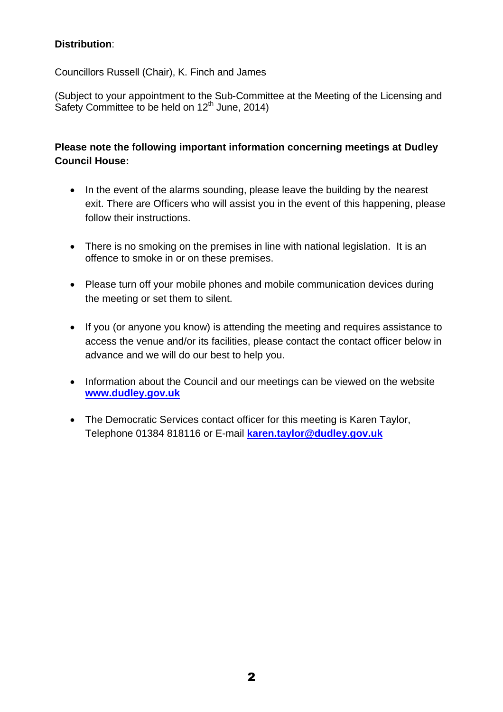# **Distribution**:

Councillors Russell (Chair), K. Finch and James

(Subject to your appointment to the Sub-Committee at the Meeting of the Licensing and Safety Committee to be held on  $12<sup>th</sup>$  June, 2014)

# **Please note the following important information concerning meetings at Dudley Council House:**

- In the event of the alarms sounding, please leave the building by the nearest exit. There are Officers who will assist you in the event of this happening, please follow their instructions.
- There is no smoking on the premises in line with national legislation. It is an offence to smoke in or on these premises.
- Please turn off your mobile phones and mobile communication devices during the meeting or set them to silent.
- If you (or anyone you know) is attending the meeting and requires assistance to access the venue and/or its facilities, please contact the contact officer below in advance and we will do our best to help you.
- Information about the Council and our meetings can be viewed on the website **www.dudley.gov.uk**
- The Democratic Services contact officer for this meeting is Karen Taylor, Telephone 01384 818116 or E-mail **karen.taylor@dudley.gov.uk**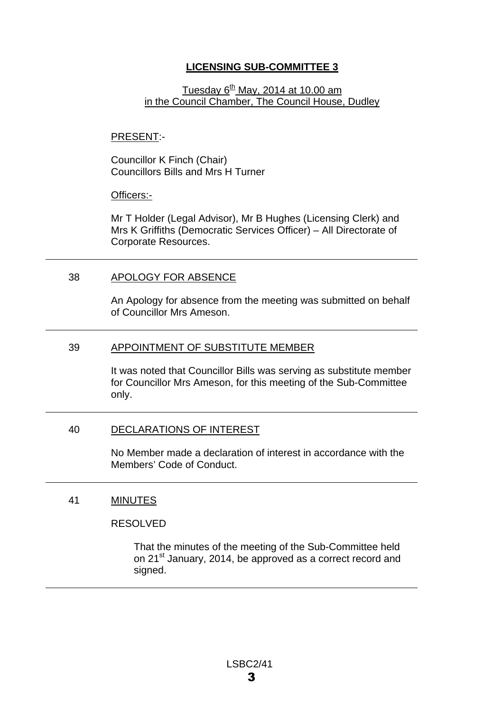# **LICENSING SUB-COMMITTEE 3**

### Tuesday  $6<sup>th</sup>$  May, 2014 at 10.00 am in the Council Chamber, The Council House, Dudley

#### PRESENT:-

Councillor K Finch (Chair) Councillors Bills and Mrs H Turner

#### Officers:-

Mr T Holder (Legal Advisor), Mr B Hughes (Licensing Clerk) and Mrs K Griffiths (Democratic Services Officer) – All Directorate of Corporate Resources.

#### 38 APOLOGY FOR ABSENCE

An Apology for absence from the meeting was submitted on behalf of Councillor Mrs Ameson.

#### 39 APPOINTMENT OF SUBSTITUTE MEMBER

It was noted that Councillor Bills was serving as substitute member for Councillor Mrs Ameson, for this meeting of the Sub-Committee only.

#### 40 DECLARATIONS OF INTEREST

No Member made a declaration of interest in accordance with the Members' Code of Conduct.

#### 41 MINUTES

#### RESOLVED

That the minutes of the meeting of the Sub-Committee held on 21<sup>st</sup> January, 2014, be approved as a correct record and signed.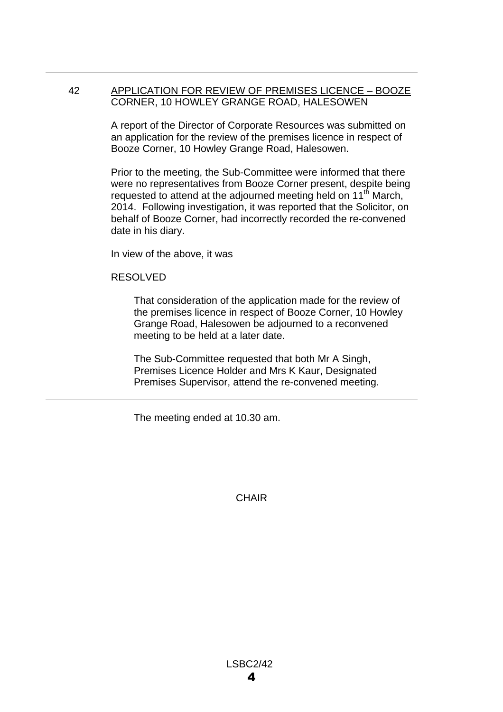#### 42 APPLICATION FOR REVIEW OF PREMISES LICENCE – BOOZE CORNER, 10 HOWLEY GRANGE ROAD, HALESOWEN

A report of the Director of Corporate Resources was submitted on an application for the review of the premises licence in respect of Booze Corner, 10 Howley Grange Road, Halesowen.

Prior to the meeting, the Sub-Committee were informed that there were no representatives from Booze Corner present, despite being requested to attend at the adjourned meeting held on 11<sup>th</sup> March, 2014. Following investigation, it was reported that the Solicitor, on behalf of Booze Corner, had incorrectly recorded the re-convened date in his diary.

In view of the above, it was

#### RESOLVED

That consideration of the application made for the review of the premises licence in respect of Booze Corner, 10 Howley Grange Road, Halesowen be adjourned to a reconvened meeting to be held at a later date.

The Sub-Committee requested that both Mr A Singh, Premises Licence Holder and Mrs K Kaur, Designated Premises Supervisor, attend the re-convened meeting.

The meeting ended at 10.30 am.

**CHAIR**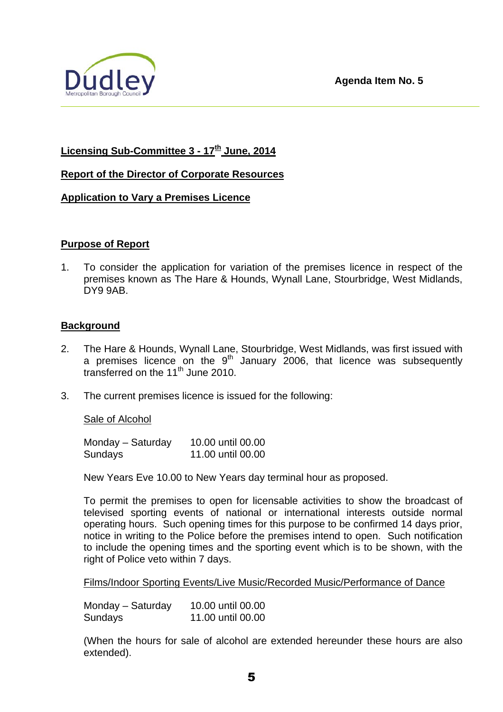

# **Licensing Sub-Committee 3 - 17th June, 2014**

#### **Report of the Director of Corporate Resources**

#### **Application to Vary a Premises Licence**

#### **Purpose of Report**

1. To consider the application for variation of the premises licence in respect of the premises known as The Hare & Hounds, Wynall Lane, Stourbridge, West Midlands, DY9 9AB.

#### **Background**

- 2. The Hare & Hounds, Wynall Lane, Stourbridge, West Midlands, was first issued with a premises licence on the  $9<sup>th</sup>$  January 2006, that licence was subsequently transferred on the  $11<sup>th</sup>$  June 2010.
- 3. The current premises licence is issued for the following:

#### Sale of Alcohol

Monday – Saturday 10.00 until 00.00 Sundays 11.00 until 00.00

New Years Eve 10.00 to New Years day terminal hour as proposed.

To permit the premises to open for licensable activities to show the broadcast of televised sporting events of national or international interests outside normal operating hours. Such opening times for this purpose to be confirmed 14 days prior, notice in writing to the Police before the premises intend to open. Such notification to include the opening times and the sporting event which is to be shown, with the right of Police veto within 7 days.

Films/Indoor Sporting Events/Live Music/Recorded Music/Performance of Dance

Monday – Saturday 10.00 until 00.00 Sundays 11.00 until 00.00

(When the hours for sale of alcohol are extended hereunder these hours are also extended).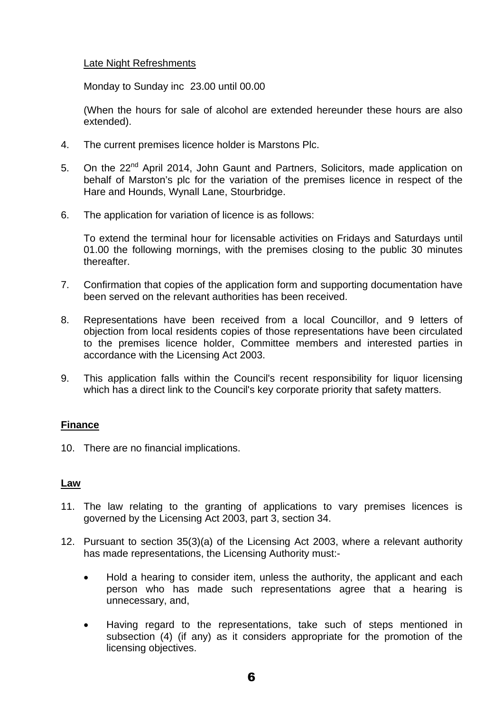#### Late Night Refreshments

Monday to Sunday inc 23.00 until 00.00

(When the hours for sale of alcohol are extended hereunder these hours are also extended).

- 4. The current premises licence holder is Marstons Plc.
- 5. On the 22<sup>nd</sup> April 2014, John Gaunt and Partners, Solicitors, made application on behalf of Marston's plc for the variation of the premises licence in respect of the Hare and Hounds, Wynall Lane, Stourbridge.
- 6. The application for variation of licence is as follows:

 To extend the terminal hour for licensable activities on Fridays and Saturdays until 01.00 the following mornings, with the premises closing to the public 30 minutes thereafter.

- 7. Confirmation that copies of the application form and supporting documentation have been served on the relevant authorities has been received.
- 8. Representations have been received from a local Councillor, and 9 letters of objection from local residents copies of those representations have been circulated to the premises licence holder, Committee members and interested parties in accordance with the Licensing Act 2003.
- 9. This application falls within the Council's recent responsibility for liquor licensing which has a direct link to the Council's key corporate priority that safety matters.

### **Finance**

10. There are no financial implications.

#### **Law**

- 11. The law relating to the granting of applications to vary premises licences is governed by the Licensing Act 2003, part 3, section 34.
- 12. Pursuant to section 35(3)(a) of the Licensing Act 2003, where a relevant authority has made representations, the Licensing Authority must:-
	- Hold a hearing to consider item, unless the authority, the applicant and each person who has made such representations agree that a hearing is unnecessary, and,
	- Having regard to the representations, take such of steps mentioned in subsection (4) (if any) as it considers appropriate for the promotion of the licensing objectives.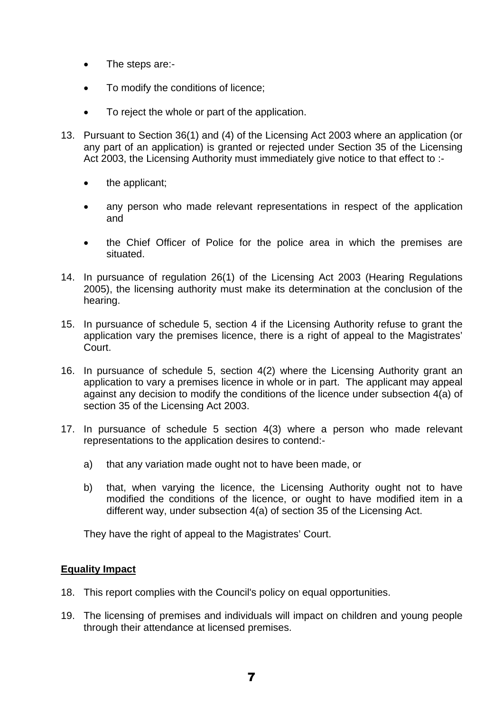- The steps are:-
- To modify the conditions of licence:
- To reject the whole or part of the application.
- 13. Pursuant to Section 36(1) and (4) of the Licensing Act 2003 where an application (or any part of an application) is granted or rejected under Section 35 of the Licensing Act 2003, the Licensing Authority must immediately give notice to that effect to :
	- the applicant;
	- any person who made relevant representations in respect of the application and
	- the Chief Officer of Police for the police area in which the premises are situated.
- 14. In pursuance of regulation 26(1) of the Licensing Act 2003 (Hearing Regulations 2005), the licensing authority must make its determination at the conclusion of the hearing.
- 15. In pursuance of schedule 5, section 4 if the Licensing Authority refuse to grant the application vary the premises licence, there is a right of appeal to the Magistrates' Court.
- 16. In pursuance of schedule 5, section 4(2) where the Licensing Authority grant an application to vary a premises licence in whole or in part. The applicant may appeal against any decision to modify the conditions of the licence under subsection 4(a) of section 35 of the Licensing Act 2003.
- 17. In pursuance of schedule 5 section 4(3) where a person who made relevant representations to the application desires to contend:
	- a) that any variation made ought not to have been made, or
	- b) that, when varying the licence, the Licensing Authority ought not to have modified the conditions of the licence, or ought to have modified item in a different way, under subsection 4(a) of section 35 of the Licensing Act.

They have the right of appeal to the Magistrates' Court.

#### **Equality Impact**

- 18. This report complies with the Council's policy on equal opportunities.
- 19. The licensing of premises and individuals will impact on children and young people through their attendance at licensed premises.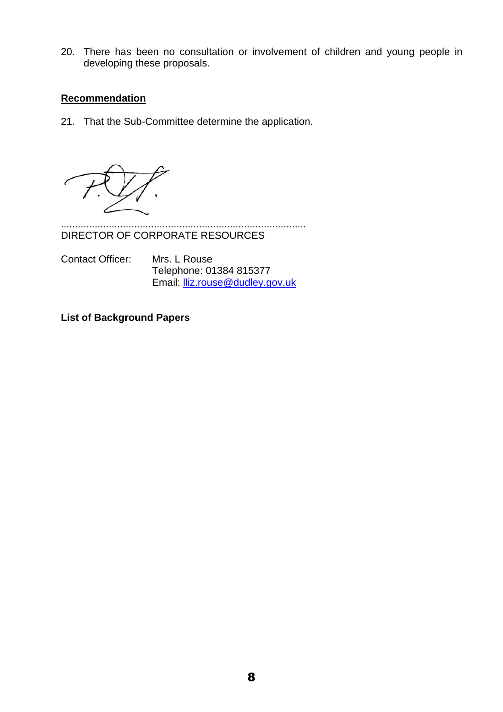20. There has been no consultation or involvement of children and young people in developing these proposals.

#### **Recommendation**

21. That the Sub-Committee determine the application.

....................................................................................... DIRECTOR OF CORPORATE RESOURCES

Contact Officer: Mrs. L Rouse Telephone: 01384 815377 Email: lliz.rouse@dudley.gov.uk

**List of Background Papers**